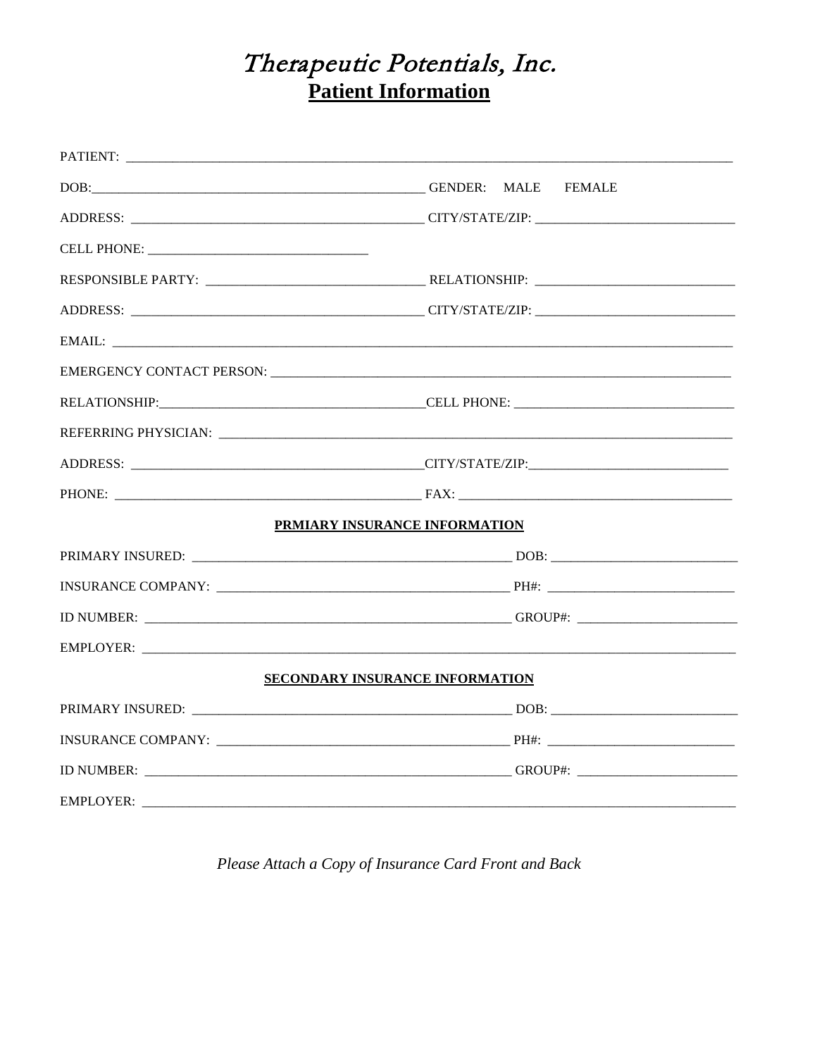# Therapeutic Potentials, Inc. Patient Information

| PRMIARY INSURANCE INFORMATION          |  |
|----------------------------------------|--|
|                                        |  |
|                                        |  |
|                                        |  |
|                                        |  |
| <b>SECONDARY INSURANCE INFORMATION</b> |  |
|                                        |  |
|                                        |  |
|                                        |  |
|                                        |  |

Please Attach a Copy of Insurance Card Front and Back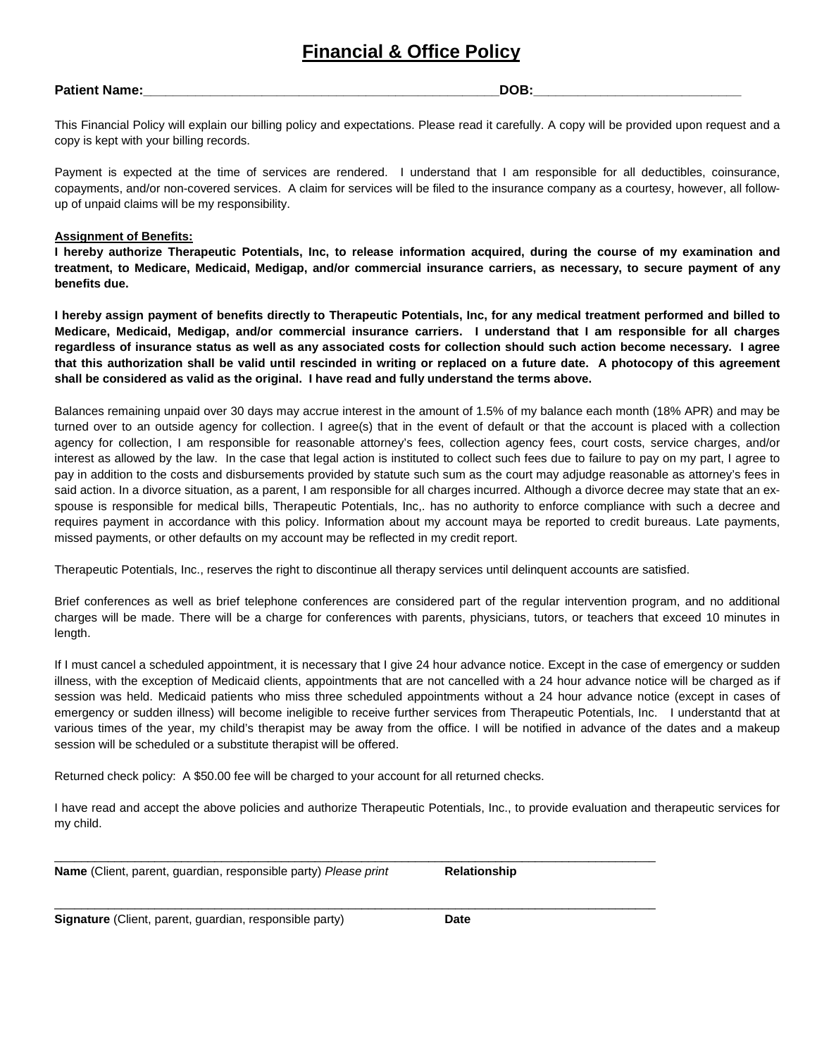## **Financial & Office Policy**

#### **Patient Name: DOB: DOB: DOB: DOB: DOB: DOB: DOB: DOB: DOB: DOB: DOB: DOB: DOB: DOB: DOB: DOB: DOB: DOB: DOB: DOB: DOB: DOB: DOB: DOB: DOB: DOB: DOB: DOB: DOB: DO**

This Financial Policy will explain our billing policy and expectations. Please read it carefully. A copy will be provided upon request and a copy is kept with your billing records.

Payment is expected at the time of services are rendered. I understand that I am responsible for all deductibles, coinsurance, copayments, and/or non-covered services. A claim for services will be filed to the insurance company as a courtesy, however, all followup of unpaid claims will be my responsibility.

#### **Assignment of Benefits:**

**I hereby authorize Therapeutic Potentials, Inc, to release information acquired, during the course of my examination and treatment, to Medicare, Medicaid, Medigap, and/or commercial insurance carriers, as necessary, to secure payment of any benefits due.** 

**I hereby assign payment of benefits directly to Therapeutic Potentials, Inc, for any medical treatment performed and billed to Medicare, Medicaid, Medigap, and/or commercial insurance carriers. I understand that I am responsible for all charges regardless of insurance status as well as any associated costs for collection should such action become necessary. I agree that this authorization shall be valid until rescinded in writing or replaced on a future date. A photocopy of this agreement shall be considered as valid as the original. I have read and fully understand the terms above.**

Balances remaining unpaid over 30 days may accrue interest in the amount of 1.5% of my balance each month (18% APR) and may be turned over to an outside agency for collection. I agree(s) that in the event of default or that the account is placed with a collection agency for collection, I am responsible for reasonable attorney's fees, collection agency fees, court costs, service charges, and/or interest as allowed by the law. In the case that legal action is instituted to collect such fees due to failure to pay on my part, I agree to pay in addition to the costs and disbursements provided by statute such sum as the court may adjudge reasonable as attorney's fees in said action. In a divorce situation, as a parent, I am responsible for all charges incurred. Although a divorce decree may state that an exspouse is responsible for medical bills, Therapeutic Potentials, Inc,. has no authority to enforce compliance with such a decree and requires payment in accordance with this policy. Information about my account maya be reported to credit bureaus. Late payments, missed payments, or other defaults on my account may be reflected in my credit report.

Therapeutic Potentials, Inc., reserves the right to discontinue all therapy services until delinquent accounts are satisfied.

Brief conferences as well as brief telephone conferences are considered part of the regular intervention program, and no additional charges will be made. There will be a charge for conferences with parents, physicians, tutors, or teachers that exceed 10 minutes in length.

If I must cancel a scheduled appointment, it is necessary that I give 24 hour advance notice. Except in the case of emergency or sudden illness, with the exception of Medicaid clients, appointments that are not cancelled with a 24 hour advance notice will be charged as if session was held. Medicaid patients who miss three scheduled appointments without a 24 hour advance notice (except in cases of emergency or sudden illness) will become ineligible to receive further services from Therapeutic Potentials, Inc. I understantd that at various times of the year, my child's therapist may be away from the office. I will be notified in advance of the dates and a makeup session will be scheduled or a substitute therapist will be offered.

Returned check policy: A \$50.00 fee will be charged to your account for all returned checks.

 $\overline{\phantom{a}}$  ,  $\overline{\phantom{a}}$  ,  $\overline{\phantom{a}}$  ,  $\overline{\phantom{a}}$  ,  $\overline{\phantom{a}}$  ,  $\overline{\phantom{a}}$  ,  $\overline{\phantom{a}}$  ,  $\overline{\phantom{a}}$  ,  $\overline{\phantom{a}}$  ,  $\overline{\phantom{a}}$  ,  $\overline{\phantom{a}}$  ,  $\overline{\phantom{a}}$  ,  $\overline{\phantom{a}}$  ,  $\overline{\phantom{a}}$  ,  $\overline{\phantom{a}}$  ,  $\overline{\phantom{a}}$ 

 $\overline{\phantom{a}}$  ,  $\overline{\phantom{a}}$  ,  $\overline{\phantom{a}}$  ,  $\overline{\phantom{a}}$  ,  $\overline{\phantom{a}}$  ,  $\overline{\phantom{a}}$  ,  $\overline{\phantom{a}}$  ,  $\overline{\phantom{a}}$  ,  $\overline{\phantom{a}}$  ,  $\overline{\phantom{a}}$  ,  $\overline{\phantom{a}}$  ,  $\overline{\phantom{a}}$  ,  $\overline{\phantom{a}}$  ,  $\overline{\phantom{a}}$  ,  $\overline{\phantom{a}}$  ,  $\overline{\phantom{a}}$ 

I have read and accept the above policies and authorize Therapeutic Potentials, Inc., to provide evaluation and therapeutic services for my child.

**Name** (Client, parent, guardian, responsible party) *Please print* **Relationship**

**Signature** (Client, parent, guardian, responsible party) **Date**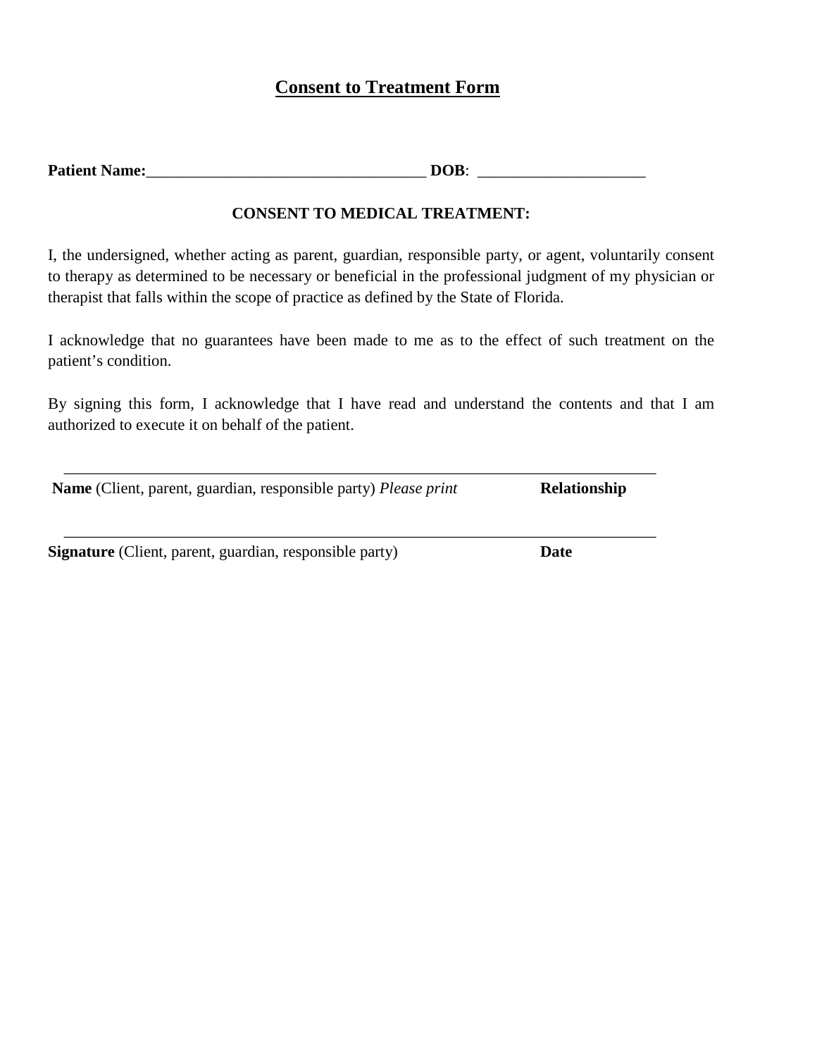## **Consent to Treatment Form**

## **CONSENT TO MEDICAL TREATMENT:**

I, the undersigned, whether acting as parent, guardian, responsible party, or agent, voluntarily consent to therapy as determined to be necessary or beneficial in the professional judgment of my physician or therapist that falls within the scope of practice as defined by the State of Florida.

I acknowledge that no guarantees have been made to me as to the effect of such treatment on the patient's condition.

By signing this form, I acknowledge that I have read and understand the contents and that I am authorized to execute it on behalf of the patient.

\_\_\_\_\_\_\_\_\_\_\_\_\_\_\_\_\_\_\_\_\_\_\_\_\_\_\_\_\_\_\_\_\_\_\_\_\_\_\_\_\_\_\_\_\_\_\_\_\_\_\_\_\_\_\_\_\_\_\_\_\_\_\_\_\_\_\_\_\_\_\_\_\_\_

\_\_\_\_\_\_\_\_\_\_\_\_\_\_\_\_\_\_\_\_\_\_\_\_\_\_\_\_\_\_\_\_\_\_\_\_\_\_\_\_\_\_\_\_\_\_\_\_\_\_\_\_\_\_\_\_\_\_\_\_\_\_\_\_\_\_\_\_\_\_\_\_\_\_

**Name** (Client, parent, guardian, responsible party) *Please print* **Relationship** 

**Signature** (Client, parent, guardian, responsible party) **Date**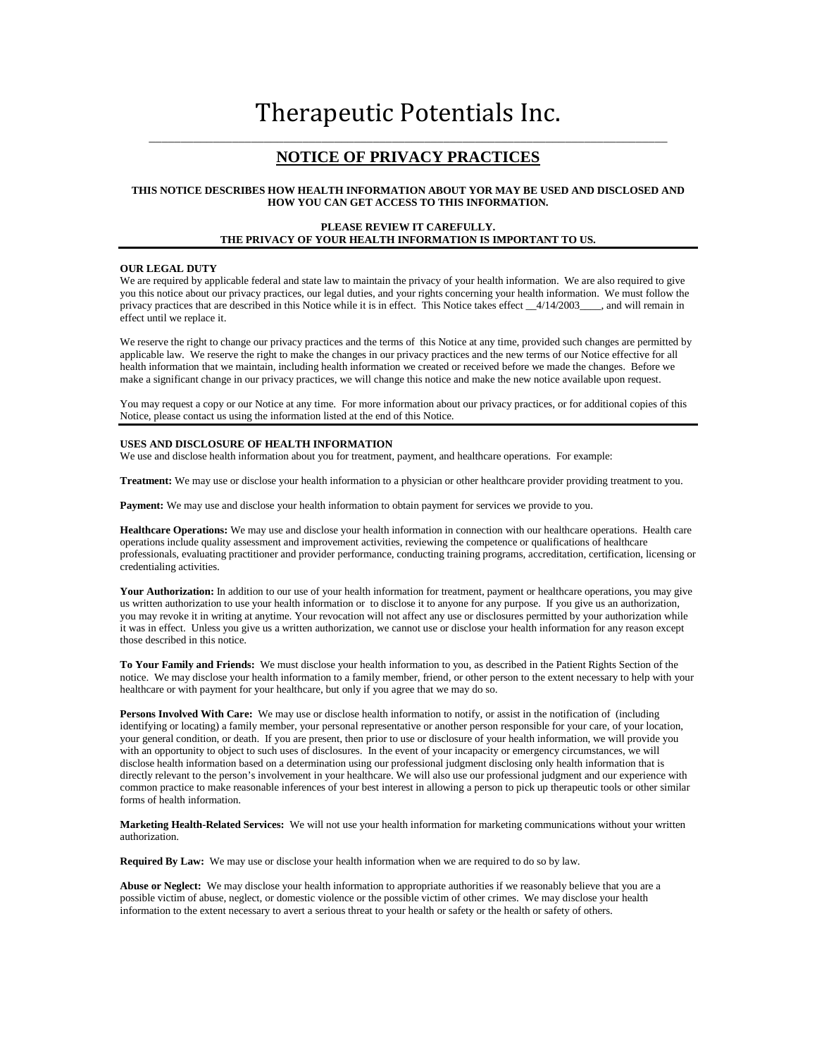# Therapeutic Potentials Inc.

### **NOTICE OF PRIVACY PRACTICES**

#### **THIS NOTICE DESCRIBES HOW HEALTH INFORMATION ABOUT YOR MAY BE USED AND DISCLOSED AND HOW YOU CAN GET ACCESS TO THIS INFORMATION.**

#### **PLEASE REVIEW IT CAREFULLY. THE PRIVACY OF YOUR HEALTH INFORMATION IS IMPORTANT TO US.**

#### **OUR LEGAL DUTY**

We are required by applicable federal and state law to maintain the privacy of your health information. We are also required to give you this notice about our privacy practices, our legal duties, and your rights concerning your health information. We must follow the privacy practices that are described in this Notice while it is in effect. This Notice t privacy practices that are described in this Notice while it is in effect. This Notice takes effect  $\_\_4/14/2003\_\_$ effect until we replace it.

We reserve the right to change our privacy practices and the terms of this Notice at any time, provided such changes are permitted by applicable law. We reserve the right to make the changes in our privacy practices and the new terms of our Notice effective for all health information that we maintain, including health information we created or received before we made the changes. Before we make a significant change in our privacy practices, we will change this notice and make the new notice available upon request.

You may request a copy or our Notice at any time. For more information about our privacy practices, or for additional copies of this Notice, please contact us using the information listed at the end of this Notice.

#### **USES AND DISCLOSURE OF HEALTH INFORMATION**

We use and disclose health information about you for treatment, payment, and healthcare operations. For example:

**Treatment:** We may use or disclose your health information to a physician or other healthcare provider providing treatment to you.

Payment: We may use and disclose your health information to obtain payment for services we provide to you.

**Healthcare Operations:** We may use and disclose your health information in connection with our healthcare operations. Health care operations include quality assessment and improvement activities, reviewing the competence or qualifications of healthcare professionals, evaluating practitioner and provider performance, conducting training programs, accreditation, certification, licensing or credentialing activities.

Your Authorization: In addition to our use of your health information for treatment, payment or healthcare operations, you may give us written authorization to use your health information or to disclose it to anyone for any purpose. If you give us an authorization, you may revoke it in writing at anytime. Your revocation will not affect any use or disclosures permitted by your authorization while it was in effect. Unless you give us a written authorization, we cannot use or disclose your health information for any reason except those described in this notice.

**To Your Family and Friends:** We must disclose your health information to you, as described in the Patient Rights Section of the notice. We may disclose your health information to a family member, friend, or other person to the extent necessary to help with your healthcare or with payment for your healthcare, but only if you agree that we may do so.

**Persons Involved With Care:** We may use or disclose health information to notify, or assist in the notification of (including identifying or locating) a family member, your personal representative or another person responsible for your care, of your location, your general condition, or death. If you are present, then prior to use or disclosure of your health information, we will provide you with an opportunity to object to such uses of disclosures. In the event of your incapacity or emergency circumstances, we will disclose health information based on a determination using our professional judgment disclosing only health information that is directly relevant to the person's involvement in your healthcare. We will also use our professional judgment and our experience with common practice to make reasonable inferences of your best interest in allowing a person to pick up therapeutic tools or other similar forms of health information.

**Marketing Health-Related Services:** We will not use your health information for marketing communications without your written authorization.

**Required By Law:** We may use or disclose your health information when we are required to do so by law.

**Abuse or Neglect:** We may disclose your health information to appropriate authorities if we reasonably believe that you are a possible victim of abuse, neglect, or domestic violence or the possible victim of other crimes. We may disclose your health information to the extent necessary to avert a serious threat to your health or safety or the health or safety of others.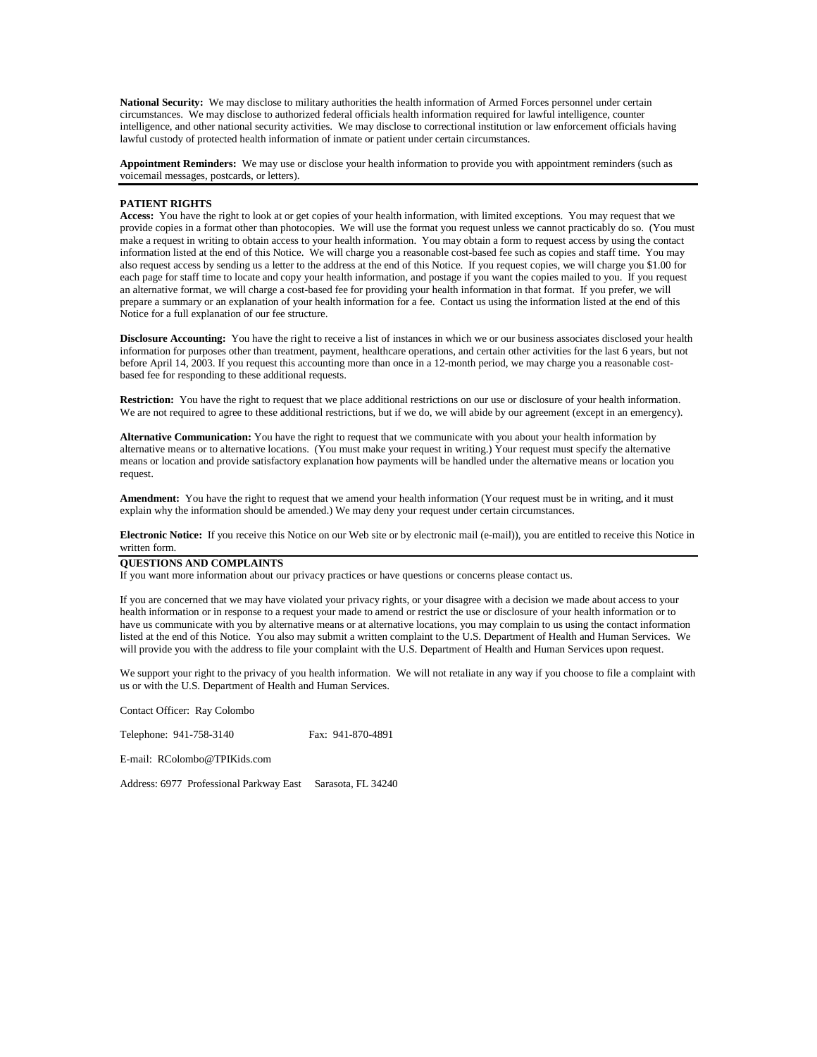National Security: We may disclose to military authorities the health information of Armed Forces personnel under certain circumstances. We may disclose to authorized federal officials health information required for lawful intelligence, counter intelligence, and other national security activities. We may disclose to correctional institution or law enforcement officials having lawful custody of protected health information of inmate or patient under certain circumstances.

**Appointment Reminders:** We may use or disclose your health information to provide you with appointment reminders (such as voicemail messages, postcards, or letters).

#### **PATIENT RIGHTS**

**Access:** You have the right to look at or get copies of your health information, with limited exceptions. You may request that we provide copies in a format other than photocopies. We will use the format you request unless we cannot practicably do so. (You must make a request in writing to obtain access to your health information. You may obtain a form to request access by using the contact information listed at the end of this Notice. We will charge you a reasonable cost-based fee such as copies and staff time. You may also request access by sending us a letter to the address at the end of this Notice. If you request copies, we will charge you \$1.00 for each page for staff time to locate and copy your health information, and postage if you want the copies mailed to you. If you request an alternative format, we will charge a cost-based fee for providing your health information in that format. If you prefer, we will prepare a summary or an explanation of your health information for a fee. Contact us using the information listed at the end of this Notice for a full explanation of our fee structure.

**Disclosure Accounting:** You have the right to receive a list of instances in which we or our business associates disclosed your health information for purposes other than treatment, payment, healthcare operations, and certain other activities for the last 6 years, but not before April 14, 2003. If you request this accounting more than once in a 12-month period, we may charge you a reasonable costbased fee for responding to these additional requests.

**Restriction:** You have the right to request that we place additional restrictions on our use or disclosure of your health information. We are not required to agree to these additional restrictions, but if we do, we will abide by our agreement (except in an emergency).

**Alternative Communication:** You have the right to request that we communicate with you about your health information by alternative means or to alternative locations. (You must make your request in writing.) Your request must specify the alternative means or location and provide satisfactory explanation how payments will be handled under the alternative means or location you request.

**Amendment:** You have the right to request that we amend your health information (Your request must be in writing, and it must explain why the information should be amended.) We may deny your request under certain circumstances.

**Electronic Notice:** If you receive this Notice on our Web site or by electronic mail (e-mail)), you are entitled to receive this Notice in written form.

#### **QUESTIONS AND COMPLAINTS**

If you want more information about our privacy practices or have questions or concerns please contact us.

If you are concerned that we may have violated your privacy rights, or your disagree with a decision we made about access to your health information or in response to a request your made to amend or restrict the use or disclosure of your health information or to have us communicate with you by alternative means or at alternative locations, you may complain to us using the contact information listed at the end of this Notice. You also may submit a written complaint to the U.S. Department of Health and Human Services. We will provide you with the address to file your complaint with the U.S. Department of Health and Human Services upon request.

We support your right to the privacy of you health information. We will not retaliate in any way if you choose to file a complaint with us or with the U.S. Department of Health and Human Services.

Contact Officer: Ray Colombo

Telephone: 941-758-3140 Fax: 941-870-4891

E-mail: RColombo@TPIKids.com

Address: 6977 Professional Parkway East Sarasota, FL 34240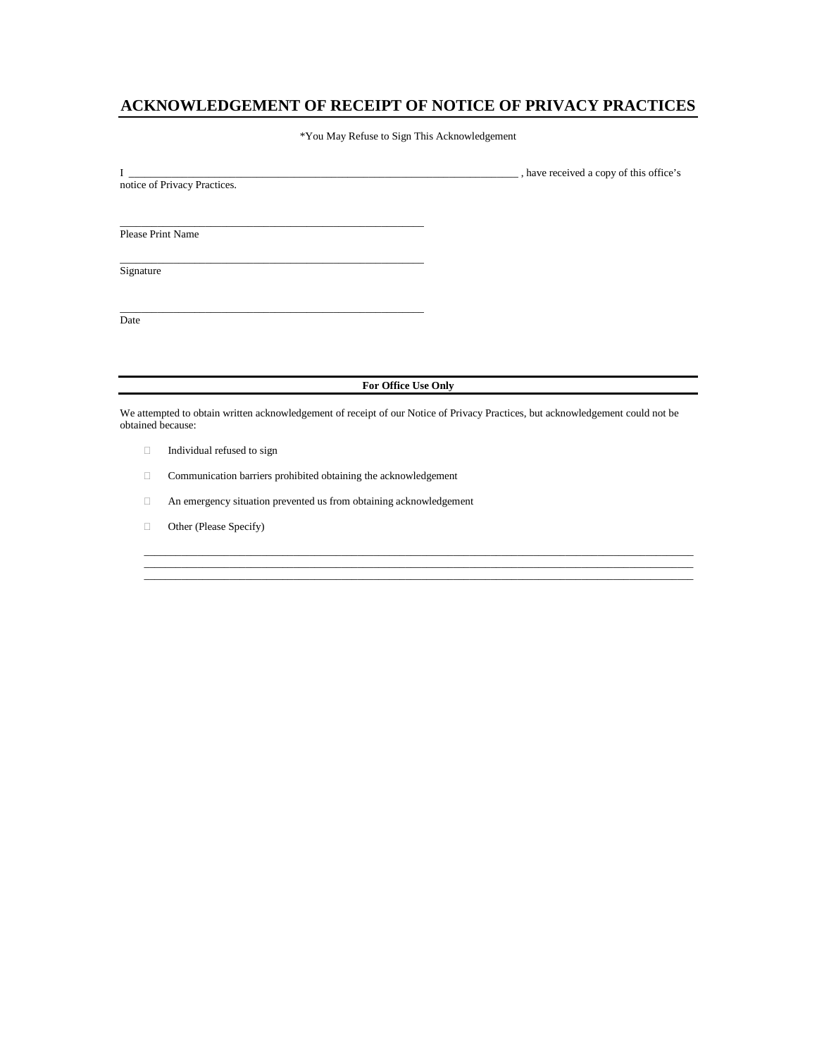## **ACKNOWLEDGEMENT OF RECEIPT OF NOTICE OF PRIVACY PRACTICES**

\*You May Refuse to Sign This Acknowledgement

|                              | , have received a copy of this office's |
|------------------------------|-----------------------------------------|
| notice of Privacy Practices. |                                         |
|                              |                                         |
|                              |                                         |
|                              |                                         |
| <b>Please Print Name</b>     |                                         |
|                              |                                         |
|                              |                                         |
| Signature                    |                                         |
|                              |                                         |
|                              |                                         |
|                              |                                         |
| Date                         |                                         |
|                              |                                         |
|                              |                                         |

**For Office Use Only**

We attempted to obtain written acknowledgement of receipt of our Notice of Privacy Practices, but acknowledgement could not be obtained because:

\_\_\_\_\_\_\_\_\_\_\_\_\_\_\_\_\_\_\_\_\_\_\_\_\_\_\_\_\_\_\_\_\_\_\_\_\_\_\_\_\_\_\_\_\_\_\_\_\_\_\_\_\_\_\_\_\_\_\_\_\_\_\_\_\_\_\_\_\_\_\_\_\_\_\_\_\_\_\_\_\_\_\_\_\_\_\_\_\_\_\_\_\_\_\_\_\_\_\_\_\_\_\_ \_\_\_\_\_\_\_\_\_\_\_\_\_\_\_\_\_\_\_\_\_\_\_\_\_\_\_\_\_\_\_\_\_\_\_\_\_\_\_\_\_\_\_\_\_\_\_\_\_\_\_\_\_\_\_\_\_\_\_\_\_\_\_\_\_\_\_\_\_\_\_\_\_\_\_\_\_\_\_\_\_\_\_\_\_\_\_\_\_\_\_\_\_\_\_\_\_\_\_\_\_\_\_ \_\_\_\_\_\_\_\_\_\_\_\_\_\_\_\_\_\_\_\_\_\_\_\_\_\_\_\_\_\_\_\_\_\_\_\_\_\_\_\_\_\_\_\_\_\_\_\_\_\_\_\_\_\_\_\_\_\_\_\_\_\_\_\_\_\_\_\_\_\_\_\_\_\_\_\_\_\_\_\_\_\_\_\_\_\_\_\_\_\_\_\_\_\_\_\_\_\_\_\_\_\_\_

- $\Box$  Individual refused to sign
- $\hfill\Box$  <br> Communication barriers prohibited obtaining the acknowledgement
- An emergency situation prevented us from obtaining acknowledgement
- Other (Please Specify)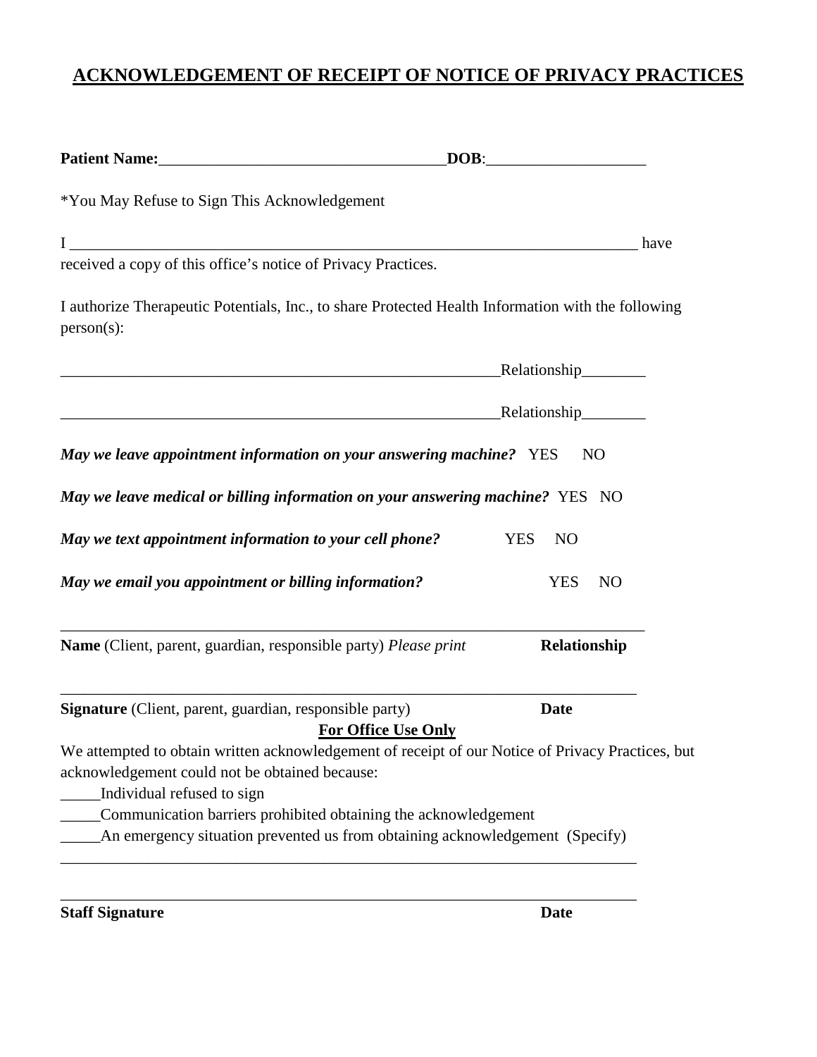## **ACKNOWLEDGEMENT OF RECEIPT OF NOTICE OF PRIVACY PRACTICES**

| Patient Name: 2008 and 2008 and 2008 and 2008 and 2008 and 2008 and 2008 and 2008 and 2008 and 2008 and 2008 and 2008 and 2008 and 2008 and 2008 and 2008 and 2008 and 2008 and 2008 and 2008 and 2008 and 2008 and 2008 and 2 |                              |
|--------------------------------------------------------------------------------------------------------------------------------------------------------------------------------------------------------------------------------|------------------------------|
| *You May Refuse to Sign This Acknowledgement                                                                                                                                                                                   |                              |
|                                                                                                                                                                                                                                | have                         |
| received a copy of this office's notice of Privacy Practices.                                                                                                                                                                  |                              |
| I authorize Therapeutic Potentials, Inc., to share Protected Health Information with the following<br>$person(s)$ :                                                                                                            |                              |
|                                                                                                                                                                                                                                |                              |
| <u>Relationship</u>                                                                                                                                                                                                            |                              |
| May we leave appointment information on your answering machine? YES                                                                                                                                                            | N <sub>O</sub>               |
| May we leave medical or billing information on your answering machine? YES NO                                                                                                                                                  |                              |
| May we text appointment information to your cell phone?                                                                                                                                                                        | <b>YES</b><br>N <sub>O</sub> |
| May we email you appointment or billing information?                                                                                                                                                                           | <b>YES</b><br>N <sub>O</sub> |
| Name (Client, parent, guardian, responsible party) Please print                                                                                                                                                                | Relationship                 |
| Signature (Client, parent, guardian, responsible party)                                                                                                                                                                        | <b>Date</b>                  |
| <b>For Office Use Only</b><br>We attempted to obtain written acknowledgement of receipt of our Notice of Privacy Practices, but                                                                                                |                              |
| acknowledgement could not be obtained because:                                                                                                                                                                                 |                              |
| Individual refused to sign                                                                                                                                                                                                     |                              |
| Communication barriers prohibited obtaining the acknowledgement                                                                                                                                                                |                              |
| An emergency situation prevented us from obtaining acknowledgement (Specify)                                                                                                                                                   |                              |

**Staff Signature Date**